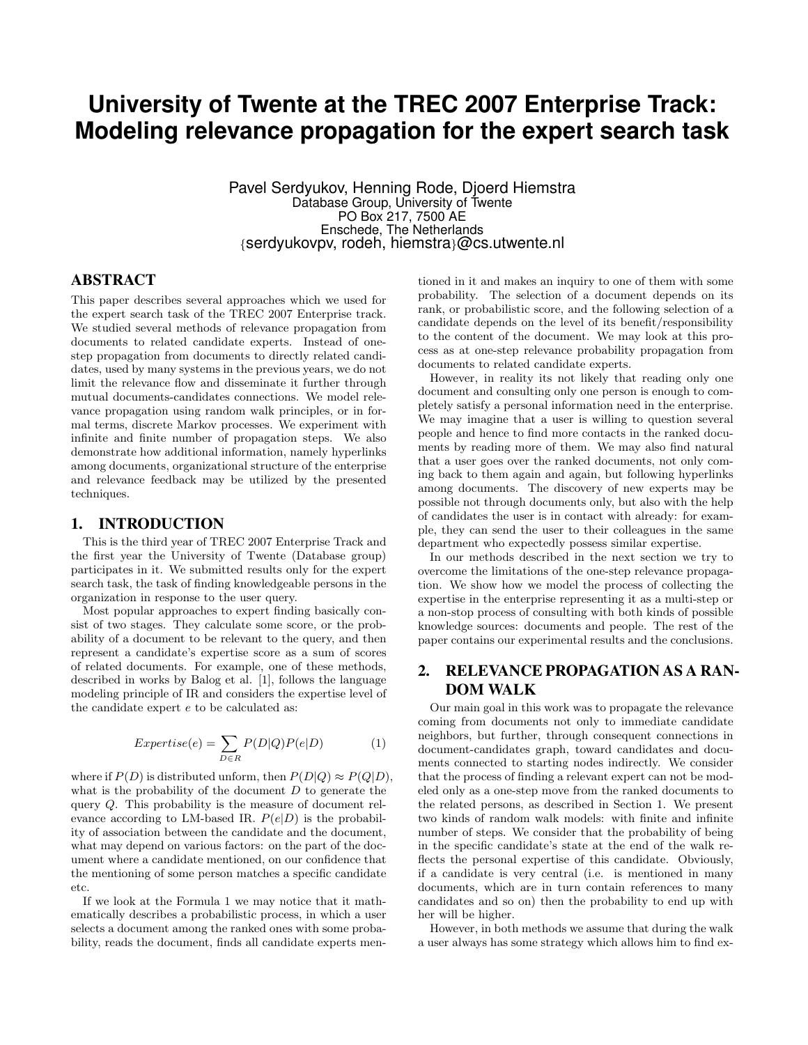# **University of Twente at the TREC 2007 Enterprise Track: Modeling relevance propagation for the expert search task**

Pavel Serdyukov, Henning Rode, Djoerd Hiemstra Database Group, University of Twente PO Box 217, 7500 AE Enschede, The Netherlands {serdyukovpv, rodeh, hiemstra}@cs.utwente.nl

# ABSTRACT

This paper describes several approaches which we used for the expert search task of the TREC 2007 Enterprise track. We studied several methods of relevance propagation from documents to related candidate experts. Instead of onestep propagation from documents to directly related candidates, used by many systems in the previous years, we do not limit the relevance flow and disseminate it further through mutual documents-candidates connections. We model relevance propagation using random walk principles, or in formal terms, discrete Markov processes. We experiment with infinite and finite number of propagation steps. We also demonstrate how additional information, namely hyperlinks among documents, organizational structure of the enterprise and relevance feedback may be utilized by the presented techniques.

# 1. INTRODUCTION

This is the third year of TREC 2007 Enterprise Track and the first year the University of Twente (Database group) participates in it. We submitted results only for the expert search task, the task of finding knowledgeable persons in the organization in response to the user query.

Most popular approaches to expert finding basically consist of two stages. They calculate some score, or the probability of a document to be relevant to the query, and then represent a candidate's expertise score as a sum of scores of related documents. For example, one of these methods, described in works by Balog et al. [1], follows the language modeling principle of IR and considers the expertise level of the candidate expert e to be calculated as:

$$
Expertise(e) = \sum_{D \in R} P(D|Q)P(e|D)
$$
 (1)

where if  $P(D)$  is distributed unform, then  $P(D|Q) \approx P(Q|D)$ , what is the probability of the document  $D$  to generate the query Q. This probability is the measure of document relevance according to LM-based IR.  $P(e|D)$  is the probability of association between the candidate and the document, what may depend on various factors: on the part of the document where a candidate mentioned, on our confidence that the mentioning of some person matches a specific candidate etc.

If we look at the Formula 1 we may notice that it mathematically describes a probabilistic process, in which a user selects a document among the ranked ones with some probability, reads the document, finds all candidate experts mentioned in it and makes an inquiry to one of them with some probability. The selection of a document depends on its rank, or probabilistic score, and the following selection of a candidate depends on the level of its benefit/responsibility to the content of the document. We may look at this process as at one-step relevance probability propagation from documents to related candidate experts.

However, in reality its not likely that reading only one document and consulting only one person is enough to completely satisfy a personal information need in the enterprise. We may imagine that a user is willing to question several people and hence to find more contacts in the ranked documents by reading more of them. We may also find natural that a user goes over the ranked documents, not only coming back to them again and again, but following hyperlinks among documents. The discovery of new experts may be possible not through documents only, but also with the help of candidates the user is in contact with already: for example, they can send the user to their colleagues in the same department who expectedly possess similar expertise.

In our methods described in the next section we try to overcome the limitations of the one-step relevance propagation. We show how we model the process of collecting the expertise in the enterprise representing it as a multi-step or a non-stop process of consulting with both kinds of possible knowledge sources: documents and people. The rest of the paper contains our experimental results and the conclusions.

# 2. RELEVANCE PROPAGATION AS A RAN-DOM WALK

Our main goal in this work was to propagate the relevance coming from documents not only to immediate candidate neighbors, but further, through consequent connections in document-candidates graph, toward candidates and documents connected to starting nodes indirectly. We consider that the process of finding a relevant expert can not be modeled only as a one-step move from the ranked documents to the related persons, as described in Section 1. We present two kinds of random walk models: with finite and infinite number of steps. We consider that the probability of being in the specific candidate's state at the end of the walk reflects the personal expertise of this candidate. Obviously, if a candidate is very central (i.e. is mentioned in many documents, which are in turn contain references to many candidates and so on) then the probability to end up with her will be higher.

However, in both methods we assume that during the walk a user always has some strategy which allows him to find ex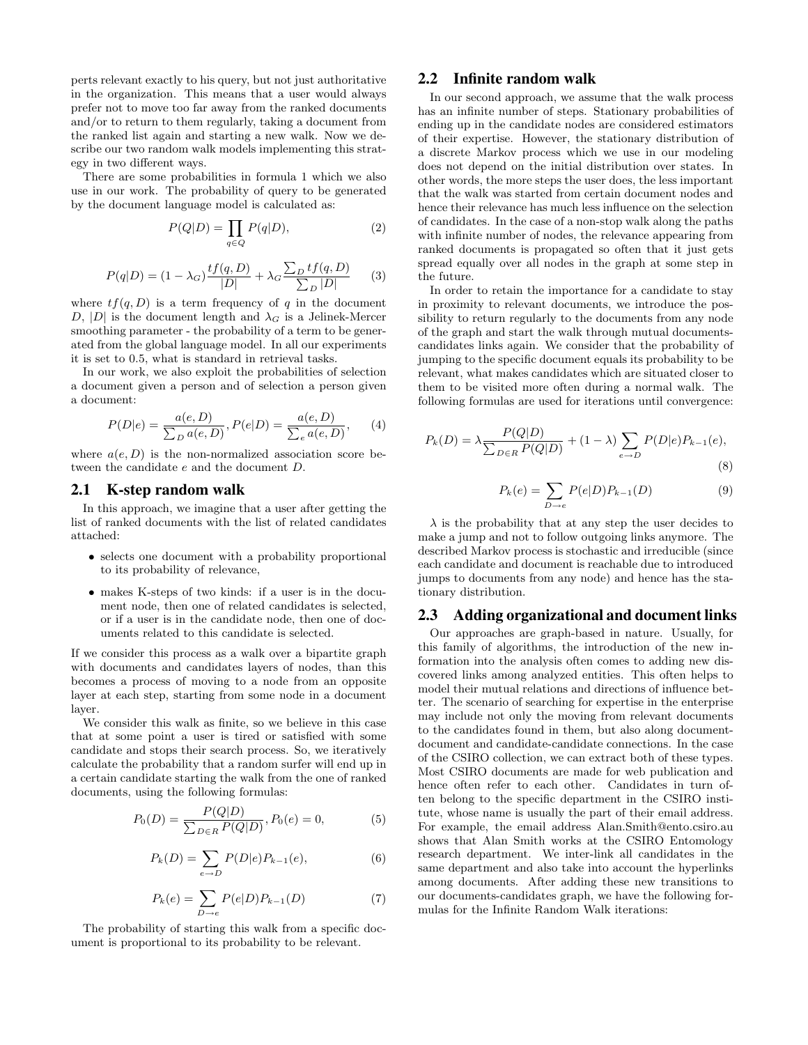perts relevant exactly to his query, but not just authoritative in the organization. This means that a user would always prefer not to move too far away from the ranked documents and/or to return to them regularly, taking a document from the ranked list again and starting a new walk. Now we describe our two random walk models implementing this strategy in two different ways.

There are some probabilities in formula 1 which we also use in our work. The probability of query to be generated by the document language model is calculated as:

$$
P(Q|D) = \prod_{q \in Q} P(q|D),\tag{2}
$$

$$
P(q|D) = (1 - \lambda_G) \frac{tf(q, D)}{|D|} + \lambda_G \frac{\sum_D tf(q, D)}{\sum_D |D|}
$$
 (3)

where  $tf(q, D)$  is a term frequency of q in the document D, |D| is the document length and  $\lambda_G$  is a Jelinek-Mercer smoothing parameter - the probability of a term to be generated from the global language model. In all our experiments it is set to 0.5, what is standard in retrieval tasks.

In our work, we also exploit the probabilities of selection a document given a person and of selection a person given a document:

$$
P(D|e) = \frac{a(e, D)}{\sum_D a(e, D)}, P(e|D) = \frac{a(e, D)}{\sum_e a(e, D)}, \qquad (4)
$$

where  $a(e, D)$  is the non-normalized association score between the candidate e and the document D.

#### 2.1 K-step random walk

In this approach, we imagine that a user after getting the list of ranked documents with the list of related candidates attached:

- selects one document with a probability proportional to its probability of relevance,
- makes K-steps of two kinds: if a user is in the document node, then one of related candidates is selected, or if a user is in the candidate node, then one of documents related to this candidate is selected.

If we consider this process as a walk over a bipartite graph with documents and candidates layers of nodes, than this becomes a process of moving to a node from an opposite layer at each step, starting from some node in a document layer.

We consider this walk as finite, so we believe in this case that at some point a user is tired or satisfied with some candidate and stops their search process. So, we iteratively calculate the probability that a random surfer will end up in a certain candidate starting the walk from the one of ranked documents, using the following formulas:

$$
P_0(D) = \frac{P(Q|D)}{\sum_{D \in R} P(Q|D)}, P_0(e) = 0,\tag{5}
$$

$$
P_k(D) = \sum_{e \to D} P(D|e) P_{k-1}(e), \tag{6}
$$

$$
P_k(e) = \sum_{D \to e} P(e|D) P_{k-1}(D)
$$
 (7)

The probability of starting this walk from a specific document is proportional to its probability to be relevant.

# 2.2 Infinite random walk

In our second approach, we assume that the walk process has an infinite number of steps. Stationary probabilities of ending up in the candidate nodes are considered estimators of their expertise. However, the stationary distribution of a discrete Markov process which we use in our modeling does not depend on the initial distribution over states. In other words, the more steps the user does, the less important that the walk was started from certain document nodes and hence their relevance has much less influence on the selection of candidates. In the case of a non-stop walk along the paths with infinite number of nodes, the relevance appearing from ranked documents is propagated so often that it just gets spread equally over all nodes in the graph at some step in the future.

In order to retain the importance for a candidate to stay in proximity to relevant documents, we introduce the possibility to return regularly to the documents from any node of the graph and start the walk through mutual documentscandidates links again. We consider that the probability of jumping to the specific document equals its probability to be relevant, what makes candidates which are situated closer to them to be visited more often during a normal walk. The following formulas are used for iterations until convergence:

$$
P_k(D) = \lambda \frac{P(Q|D)}{\sum_{D \in R} P(Q|D)} + (1 - \lambda) \sum_{e \to D} P(D|e) P_{k-1}(e),
$$
\n(8)

$$
P_k(e) = \sum_{D \to e} P(e|D) P_{k-1}(D)
$$
 (9)

 $\lambda$  is the probability that at any step the user decides to make a jump and not to follow outgoing links anymore. The described Markov process is stochastic and irreducible (since each candidate and document is reachable due to introduced jumps to documents from any node) and hence has the stationary distribution.

#### 2.3 Adding organizational and document links

Our approaches are graph-based in nature. Usually, for this family of algorithms, the introduction of the new information into the analysis often comes to adding new discovered links among analyzed entities. This often helps to model their mutual relations and directions of influence better. The scenario of searching for expertise in the enterprise may include not only the moving from relevant documents to the candidates found in them, but also along documentdocument and candidate-candidate connections. In the case of the CSIRO collection, we can extract both of these types. Most CSIRO documents are made for web publication and hence often refer to each other. Candidates in turn often belong to the specific department in the CSIRO institute, whose name is usually the part of their email address. For example, the email address Alan.Smith@ento.csiro.au shows that Alan Smith works at the CSIRO Entomology research department. We inter-link all candidates in the same department and also take into account the hyperlinks among documents. After adding these new transitions to our documents-candidates graph, we have the following formulas for the Infinite Random Walk iterations: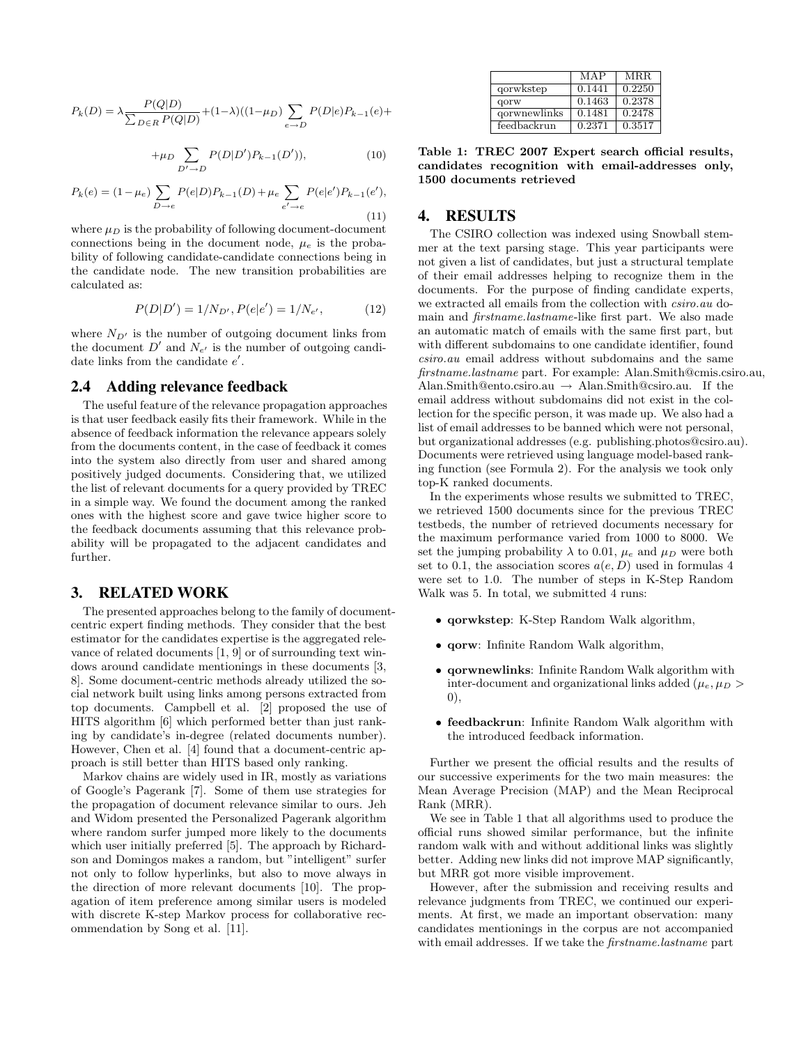$$
P_k(D) = \lambda \frac{P(Q|D)}{\sum_{D \in R} P(Q|D)} + (1 - \lambda)((1 - \mu_D) \sum_{e \to D} P(D|e)P_{k-1}(e) +
$$

$$
+\mu_D \sum_{D' \to D} P(D|D')P_{k-1}(D')), \tag{10}
$$

$$
P_k(e) = (1 - \mu_e) \sum_{D \to e} P(e|D) P_{k-1}(D) + \mu_e \sum_{e' \to e} P(e|e') P_{k-1}(e'),
$$
\n(11)

where  $\mu_D$  is the probability of following document-document connections being in the document node,  $\mu_e$  is the probability of following candidate-candidate connections being in the candidate node. The new transition probabilities are calculated as:

$$
P(D|D') = 1/N_{D'}, P(e|e') = 1/N_{e'},
$$
 (12)

where  $N_{D'}$  is the number of outgoing document links from the document  $D'$  and  $N_{e'}$  is the number of outgoing candidate links from the candidate  $e'$ .

#### 2.4 Adding relevance feedback

The useful feature of the relevance propagation approaches is that user feedback easily fits their framework. While in the absence of feedback information the relevance appears solely from the documents content, in the case of feedback it comes into the system also directly from user and shared among positively judged documents. Considering that, we utilized the list of relevant documents for a query provided by TREC in a simple way. We found the document among the ranked ones with the highest score and gave twice higher score to the feedback documents assuming that this relevance probability will be propagated to the adjacent candidates and further.

#### 3. RELATED WORK

The presented approaches belong to the family of documentcentric expert finding methods. They consider that the best estimator for the candidates expertise is the aggregated relevance of related documents [1, 9] or of surrounding text windows around candidate mentionings in these documents [3, 8]. Some document-centric methods already utilized the social network built using links among persons extracted from top documents. Campbell et al. [2] proposed the use of HITS algorithm [6] which performed better than just ranking by candidate's in-degree (related documents number). However, Chen et al. [4] found that a document-centric approach is still better than HITS based only ranking.

Markov chains are widely used in IR, mostly as variations of Google's Pagerank [7]. Some of them use strategies for the propagation of document relevance similar to ours. Jeh and Widom presented the Personalized Pagerank algorithm where random surfer jumped more likely to the documents which user initially preferred [5]. The approach by Richardson and Domingos makes a random, but "intelligent" surfer not only to follow hyperlinks, but also to move always in the direction of more relevant documents [10]. The propagation of item preference among similar users is modeled with discrete K-step Markov process for collaborative recommendation by Song et al. [11].

|              | MAP    | <b>MRR</b> |
|--------------|--------|------------|
| qorwkstep    | 0.1441 | 0.2250     |
| qorw         | 0.1463 | 0.2378     |
| gorwnewlinks | 0.1481 | 0.2478     |
| feedbackrun  | 0.2371 | 0.3517     |

Table 1: TREC 2007 Expert search official results, candidates recognition with email-addresses only, 1500 documents retrieved

# 4. RESULTS

The CSIRO collection was indexed using Snowball stemmer at the text parsing stage. This year participants were not given a list of candidates, but just a structural template of their email addresses helping to recognize them in the documents. For the purpose of finding candidate experts, we extracted all emails from the collection with csiro.au domain and firstname.lastname-like first part. We also made an automatic match of emails with the same first part, but with different subdomains to one candidate identifier, found csiro.au email address without subdomains and the same firstname.lastname part. For example: Alan.Smith@cmis.csiro.au, Alan.Smith@ento.csiro.au → Alan.Smith@csiro.au. If the email address without subdomains did not exist in the collection for the specific person, it was made up. We also had a list of email addresses to be banned which were not personal, but organizational addresses (e.g. publishing.photos@csiro.au). Documents were retrieved using language model-based ranking function (see Formula 2). For the analysis we took only top-K ranked documents.

In the experiments whose results we submitted to TREC, we retrieved 1500 documents since for the previous TREC testbeds, the number of retrieved documents necessary for the maximum performance varied from 1000 to 8000. We set the jumping probability  $\lambda$  to 0.01,  $\mu_e$  and  $\mu_D$  were both set to 0.1, the association scores  $a(e, D)$  used in formulas 4 were set to 1.0. The number of steps in K-Step Random Walk was 5. In total, we submitted 4 runs:

- qorwkstep: K-Step Random Walk algorithm,
- qorw: Infinite Random Walk algorithm,
- qorwnewlinks: Infinite Random Walk algorithm with inter-document and organizational links added ( $\mu_e$ ,  $\mu_D$ ) 0),
- feedbackrun: Infinite Random Walk algorithm with the introduced feedback information.

Further we present the official results and the results of our successive experiments for the two main measures: the Mean Average Precision (MAP) and the Mean Reciprocal Rank (MRR).

We see in Table 1 that all algorithms used to produce the official runs showed similar performance, but the infinite random walk with and without additional links was slightly better. Adding new links did not improve MAP significantly, but MRR got more visible improvement.

However, after the submission and receiving results and relevance judgments from TREC, we continued our experiments. At first, we made an important observation: many candidates mentionings in the corpus are not accompanied with email addresses. If we take the *firstname.lastname* part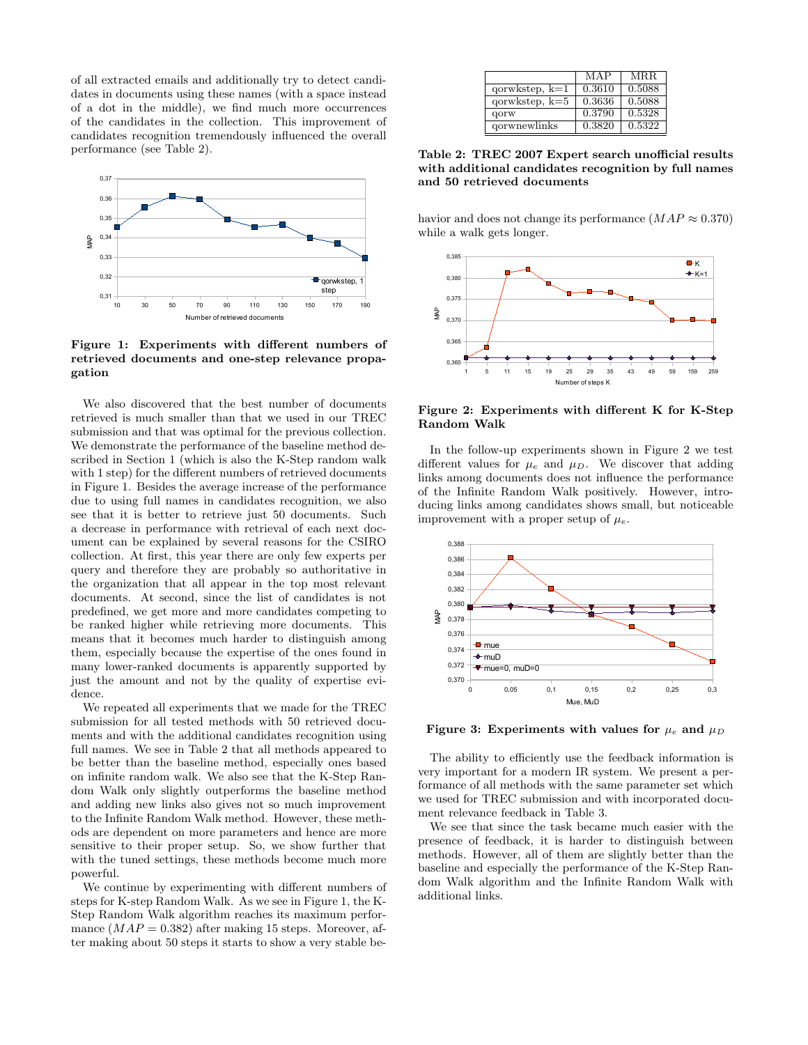of all extracted emails and additionally try to detect candidates in documents using these names (with a space instead of a dot in the middle), we find much more occurrences of the candidates in the collection. This improvement of candidates recognition tremendously influenced the overall performance (see Table 2).



Figure 1: Experiments with different numbers of retrieved documents and one-step relevance propagation

We also discovered that the best number of documents retrieved is much smaller than that we used in our TREC submission and that was optimal for the previous collection. We demonstrate the performance of the baseline method described in Section 1 (which is also the K-Step random walk with 1 step) for the different numbers of retrieved documents in Figure 1. Besides the average increase of the performance due to using full names in candidates recognition, we also see that it is better to retrieve just 50 documents. Such a decrease in performance with retrieval of each next document can be explained by several reasons for the CSIRO collection. At first, this year there are only few experts per query and therefore they are probably so authoritative in the organization that all appear in the top most relevant documents. At second, since the list of candidates is not predefined, we get more and more candidates competing to be ranked higher while retrieving more documents. This means that it becomes much harder to distinguish among them, especially because the expertise of the ones found in many lower-ranked documents is apparently supported by just the amount and not by the quality of expertise evidence.

We repeated all experiments that we made for the TREC submission for all tested methods with 50 retrieved documents and with the additional candidates recognition using full names. We see in Table 2 that all methods appeared to be better than the baseline method, especially ones based on infinite random walk. We also see that the K-Step Random Walk only slightly outperforms the baseline method and adding new links also gives not so much improvement to the Infinite Random Walk method. However, these methods are dependent on more parameters and hence are more sensitive to their proper setup. So, we show further that with the tuned settings, these methods become much more powerful.

We continue by experimenting with different numbers of steps for K-step Random Walk. As we see in Figure 1, the K-Step Random Walk algorithm reaches its maximum performance  $(MAP = 0.382)$  after making 15 steps. Moreover, after making about 50 steps it starts to show a very stable be-

|                  | MAP    | MRR.   |
|------------------|--------|--------|
| $qorwkstep, k=1$ | 0.3610 | 0.5088 |
| $qorwkstep, k=5$ | 0.3636 | 0.5088 |
| qorw             | 0.3790 | 0.5328 |
| qorwnewlinks     | 0.3820 | 0.5322 |

Table 2: TREC 2007 Expert search unofficial results with additional candidates recognition by full names mum diameters candidates reduced documents

havior and does not change its performance  $(MAP \approx 0.370)$ while a walk gets longer.



Figure 2: Experiments with different K for K-Step Random Walk

In the follow-up experiments shown in Figure 2 we test different values for  $\mu_e$  and  $\mu_D$ . We discover that adding links among documents does not influence the performance of the Infinite Random Walk positively. However, introducing links among candidates shows small, but noticeable improvement with a proper setup of  $\mu_e$ .



Figure 3: Experiments with values for  $\mu_e$  and  $\mu_D$ 

we used for TREC submission and with incorporated docuvery important for a modern IR system. We present a per-The ability to efficiently use the feedback information is ment relevance feedback in Table 3. formance of all methods with the same parameter set which

dom Walk algorithm and the Infinite Random Walk with baseline and especially the performance of the K-Step Ranmethods. However, all of them are slightly better than the We see that since the task became much easier with the presence of feedback, it is harder to distinguish between additional links.